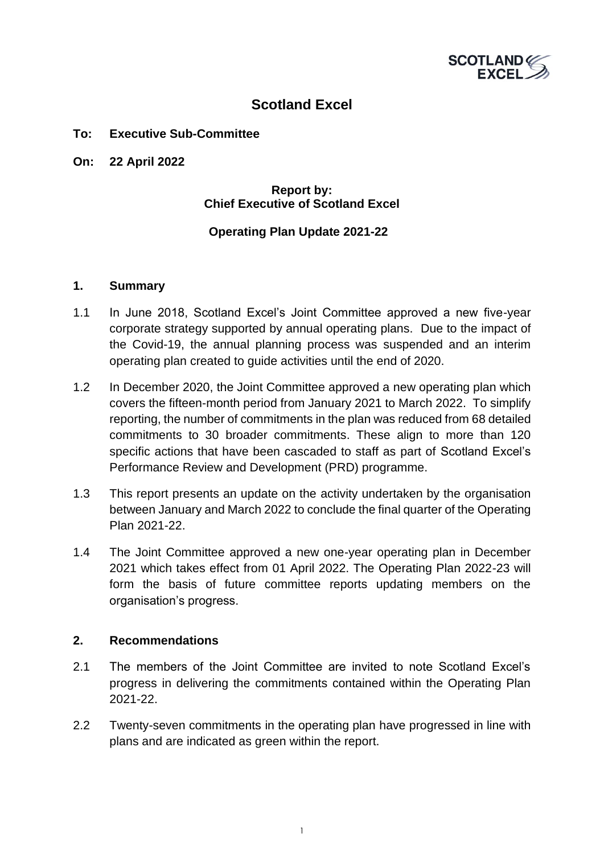

### **Scotland Excel**

#### **To: Executive Sub-Committee**

**On: 22 April 2022**

#### **Report by: Chief Executive of Scotland Excel**

#### **Operating Plan Update 2021-22**

#### **1. Summary**

- 1.1 In June 2018, Scotland Excel's Joint Committee approved a new five-year corporate strategy supported by annual operating plans. Due to the impact of the Covid-19, the annual planning process was suspended and an interim operating plan created to guide activities until the end of 2020.
- 1.2 In December 2020, the Joint Committee approved a new operating plan which covers the fifteen-month period from January 2021 to March 2022. To simplify reporting, the number of commitments in the plan was reduced from 68 detailed commitments to 30 broader commitments. These align to more than 120 specific actions that have been cascaded to staff as part of Scotland Excel's Performance Review and Development (PRD) programme.
- 1.3 This report presents an update on the activity undertaken by the organisation between January and March 2022 to conclude the final quarter of the Operating Plan 2021-22.
- 1.4 The Joint Committee approved a new one-year operating plan in December 2021 which takes effect from 01 April 2022. The Operating Plan 2022-23 will form the basis of future committee reports updating members on the organisation's progress.

#### **2. Recommendations**

- 2.1 The members of the Joint Committee are invited to note Scotland Excel's progress in delivering the commitments contained within the Operating Plan 2021-22.
- 2.2 Twenty-seven commitments in the operating plan have progressed in line with plans and are indicated as green within the report.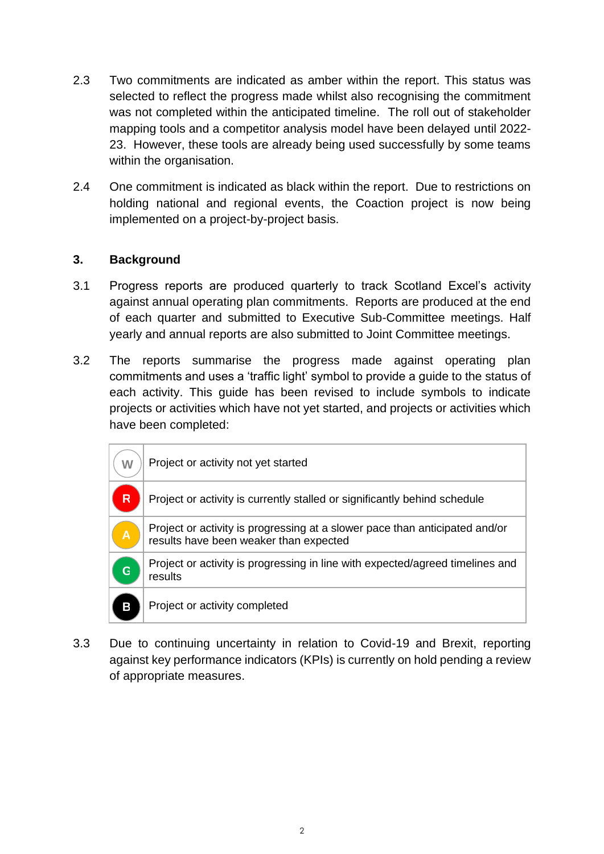- 2.3 Two commitments are indicated as amber within the report. This status was selected to reflect the progress made whilst also recognising the commitment was not completed within the anticipated timeline. The roll out of stakeholder mapping tools and a competitor analysis model have been delayed until 2022- 23. However, these tools are already being used successfully by some teams within the organisation.
- 2.4 One commitment is indicated as black within the report. Due to restrictions on holding national and regional events, the Coaction project is now being implemented on a project-by-project basis.

#### **3. Background**

- 3.1 Progress reports are produced quarterly to track Scotland Excel's activity against annual operating plan commitments. Reports are produced at the end of each quarter and submitted to Executive Sub-Committee meetings. Half yearly and annual reports are also submitted to Joint Committee meetings.
- 3.2 The reports summarise the progress made against operating plan commitments and uses a 'traffic light' symbol to provide a guide to the status of each activity. This guide has been revised to include symbols to indicate projects or activities which have not yet started, and projects or activities which have been completed:

| W | Project or activity not yet started                                                                                   |
|---|-----------------------------------------------------------------------------------------------------------------------|
| R | Project or activity is currently stalled or significantly behind schedule                                             |
| Α | Project or activity is progressing at a slower pace than anticipated and/or<br>results have been weaker than expected |
| G | Project or activity is progressing in line with expected/agreed timelines and<br>results                              |
| В | Project or activity completed                                                                                         |

3.3 Due to continuing uncertainty in relation to Covid-19 and Brexit, reporting against key performance indicators (KPIs) is currently on hold pending a review of appropriate measures.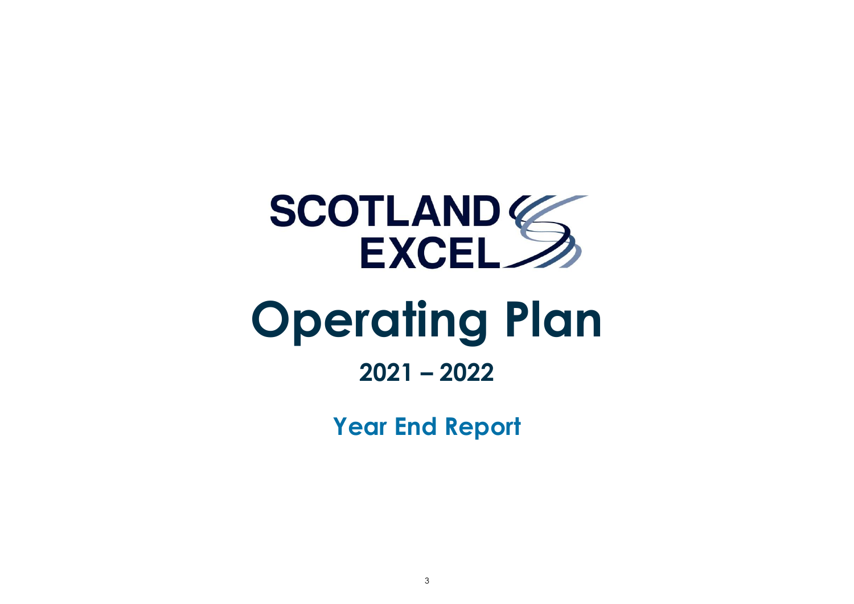

# **2021 – 2022**

**Year End Report**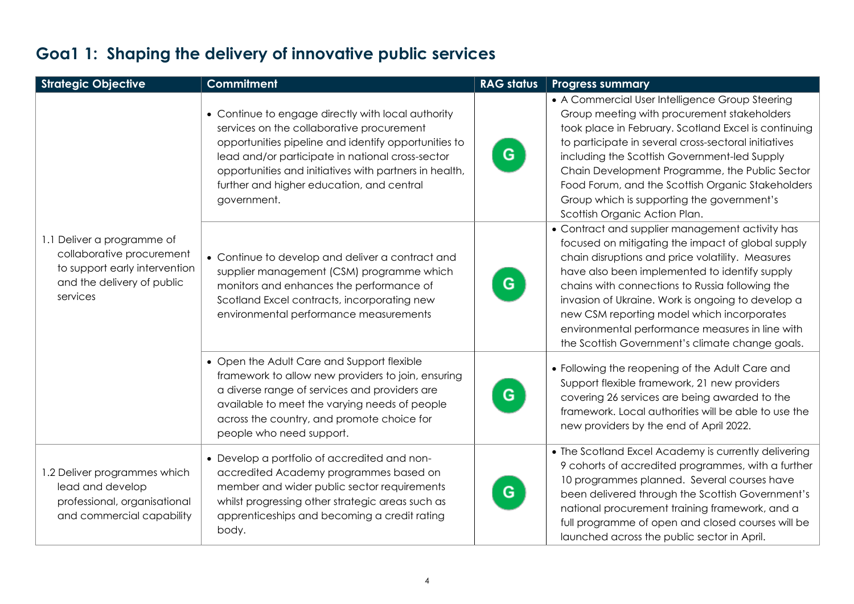| <b>Strategic Objective</b>                                                                                                         | <b>Commitment</b>                                                                                                                                                                                                                                                                                                                 | <b>RAG status</b> | <b>Progress summary</b>                                                                                                                                                                                                                                                                                                                                                                                                                                               |
|------------------------------------------------------------------------------------------------------------------------------------|-----------------------------------------------------------------------------------------------------------------------------------------------------------------------------------------------------------------------------------------------------------------------------------------------------------------------------------|-------------------|-----------------------------------------------------------------------------------------------------------------------------------------------------------------------------------------------------------------------------------------------------------------------------------------------------------------------------------------------------------------------------------------------------------------------------------------------------------------------|
| 1.1 Deliver a programme of<br>collaborative procurement<br>to support early intervention<br>and the delivery of public<br>services | • Continue to engage directly with local authority<br>services on the collaborative procurement<br>opportunities pipeline and identify opportunities to<br>lead and/or participate in national cross-sector<br>opportunities and initiatives with partners in health,<br>further and higher education, and central<br>government. | G.                | • A Commercial User Intelligence Group Steering<br>Group meeting with procurement stakeholders<br>took place in February. Scotland Excel is continuing<br>to participate in several cross-sectoral initiatives<br>including the Scottish Government-led Supply<br>Chain Development Programme, the Public Sector<br>Food Forum, and the Scottish Organic Stakeholders<br>Group which is supporting the government's<br>Scottish Organic Action Plan.                  |
|                                                                                                                                    | • Continue to develop and deliver a contract and<br>supplier management (CSM) programme which<br>monitors and enhances the performance of<br>Scotland Excel contracts, incorporating new<br>environmental performance measurements                                                                                                | G                 | • Contract and supplier management activity has<br>focused on mitigating the impact of global supply<br>chain disruptions and price volatility. Measures<br>have also been implemented to identify supply<br>chains with connections to Russia following the<br>invasion of Ukraine. Work is ongoing to develop a<br>new CSM reporting model which incorporates<br>environmental performance measures in line with<br>the Scottish Government's climate change goals. |
|                                                                                                                                    | • Open the Adult Care and Support flexible<br>framework to allow new providers to join, ensuring<br>a diverse range of services and providers are<br>available to meet the varying needs of people<br>across the country, and promote choice for<br>people who need support.                                                      | G                 | • Following the reopening of the Adult Care and<br>Support flexible framework, 21 new providers<br>covering 26 services are being awarded to the<br>framework. Local authorities will be able to use the<br>new providers by the end of April 2022.                                                                                                                                                                                                                   |
| 1.2 Deliver programmes which<br>lead and develop<br>professional, organisational<br>and commercial capability                      | • Develop a portfolio of accredited and non-<br>accredited Academy programmes based on<br>member and wider public sector requirements<br>whilst progressing other strategic areas such as<br>apprenticeships and becoming a credit rating<br>body.                                                                                | G                 | • The Scotland Excel Academy is currently delivering<br>9 cohorts of accredited programmes, with a further<br>10 programmes planned. Several courses have<br>been delivered through the Scottish Government's<br>national procurement training framework, and a<br>full programme of open and closed courses will be<br>launched across the public sector in April.                                                                                                   |

### **Goa1 1: Shaping the delivery of innovative public services**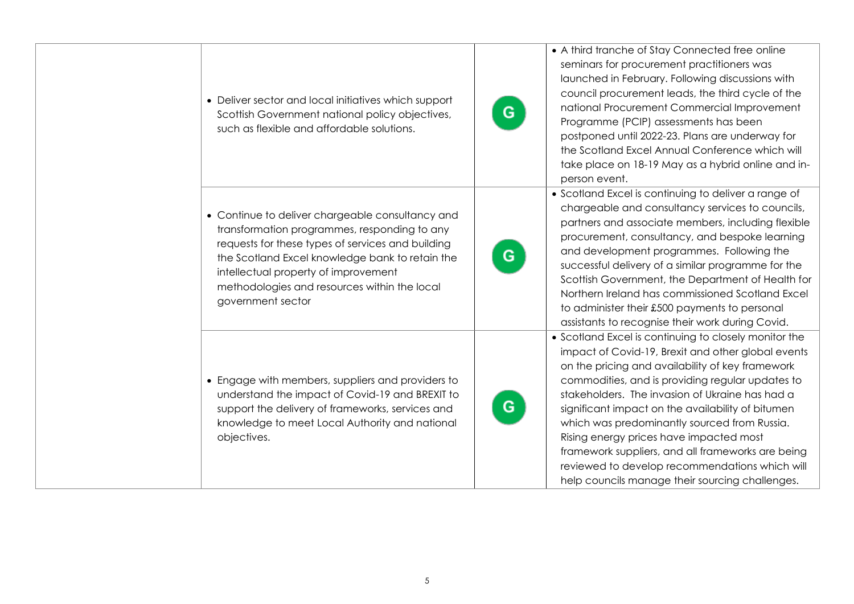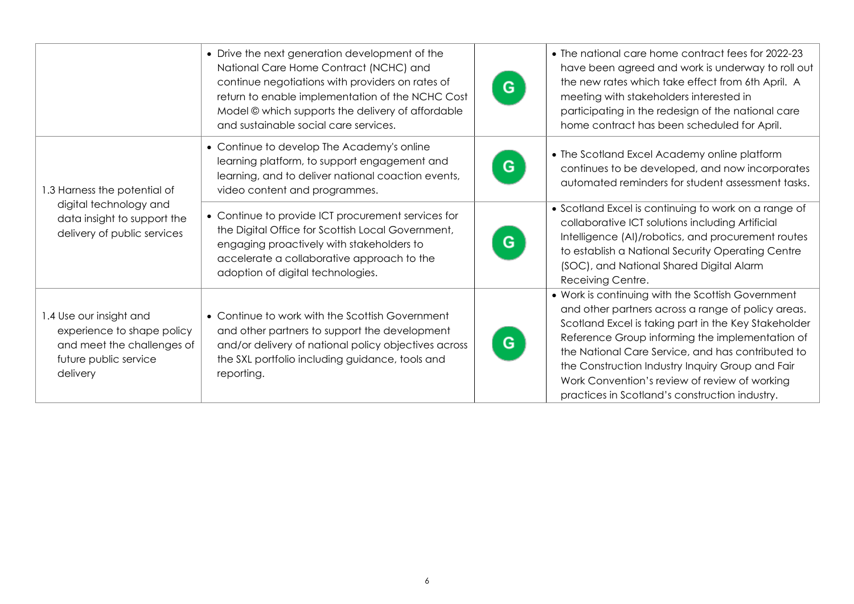|                                                                                                                          | • Drive the next generation development of the<br>National Care Home Contract (NCHC) and<br>continue negotiations with providers on rates of<br>return to enable implementation of the NCHC Cost<br>Model © which supports the delivery of affordable<br>and sustainable social care services. | • The national care home contract fees for 2022-23<br>have been agreed and work is underway to roll out<br>the new rates which take effect from 6th April. A<br>G<br>meeting with stakeholders interested in<br>participating in the redesign of the national care<br>home contract has been scheduled for April.                                                                                                                   |
|--------------------------------------------------------------------------------------------------------------------------|------------------------------------------------------------------------------------------------------------------------------------------------------------------------------------------------------------------------------------------------------------------------------------------------|-------------------------------------------------------------------------------------------------------------------------------------------------------------------------------------------------------------------------------------------------------------------------------------------------------------------------------------------------------------------------------------------------------------------------------------|
| 1.3 Harness the potential of                                                                                             | • Continue to develop The Academy's online<br>learning platform, to support engagement and<br>learning, and to deliver national coaction events,<br>video content and programmes.                                                                                                              | • The Scotland Excel Academy online platform<br>G<br>continues to be developed, and now incorporates<br>automated reminders for student assessment tasks.                                                                                                                                                                                                                                                                           |
| digital technology and<br>data insight to support the<br>delivery of public services                                     | • Continue to provide ICT procurement services for<br>the Digital Office for Scottish Local Government,<br>engaging proactively with stakeholders to<br>accelerate a collaborative approach to the<br>adoption of digital technologies.                                                        | • Scotland Excel is continuing to work on a range of<br>collaborative ICT solutions including Artificial<br>Intelligence (AI)/robotics, and procurement routes<br>G<br>to establish a National Security Operating Centre<br>(SOC), and National Shared Digital Alarm<br>Receiving Centre.                                                                                                                                           |
| 1.4 Use our insight and<br>experience to shape policy<br>and meet the challenges of<br>future public service<br>delivery | • Continue to work with the Scottish Government<br>and other partners to support the development<br>and/or delivery of national policy objectives across<br>the SXL portfolio including guidance, tools and<br>reporting.                                                                      | • Work is continuing with the Scottish Government<br>and other partners across a range of policy areas.<br>Scotland Excel is taking part in the Key Stakeholder<br>Reference Group informing the implementation of<br>G<br>the National Care Service, and has contributed to<br>the Construction Industry Inquiry Group and Fair<br>Work Convention's review of review of working<br>practices in Scotland's construction industry. |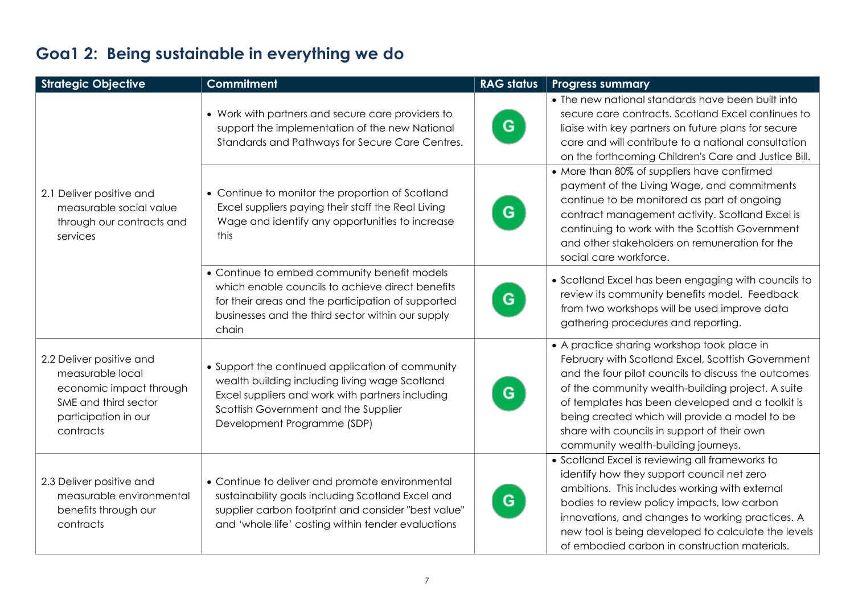### **Goa1 2: Being sustainable in everything we do**

| <b>Strategic Objective</b>                                                                                                           | <b>Commitment</b>                                                                                                                                                                                                             | <b>RAG status</b> | <b>Progress summary</b>                                                                                                                                                                                                                                                                                                                                                                                  |
|--------------------------------------------------------------------------------------------------------------------------------------|-------------------------------------------------------------------------------------------------------------------------------------------------------------------------------------------------------------------------------|-------------------|----------------------------------------------------------------------------------------------------------------------------------------------------------------------------------------------------------------------------------------------------------------------------------------------------------------------------------------------------------------------------------------------------------|
|                                                                                                                                      | • Work with partners and secure care providers to<br>support the implementation of the new National<br>Standards and Pathways for Secure Care Centres.                                                                        | G.                | • The new national standards have been built into<br>secure care contracts. Scotland Excel continues to<br>liaise with key partners on future plans for secure<br>care and will contribute to a national consultation<br>on the forthcoming Children's Care and Justice Bill.                                                                                                                            |
| 2.1 Deliver positive and<br>measurable social value<br>through our contracts and<br>services                                         | • Continue to monitor the proportion of Scotland<br>Excel suppliers paying their staff the Real Living<br>Wage and identify any opportunities to increase<br>this                                                             | G.                | • More than 80% of suppliers have confirmed<br>payment of the Living Wage, and commitments<br>continue to be monitored as part of ongoing<br>contract management activity. Scotland Excel is<br>continuing to work with the Scottish Government<br>and other stakeholders on remuneration for the<br>social care workforce.                                                                              |
|                                                                                                                                      | • Continue to embed community benefit models<br>which enable councils to achieve direct benefits<br>for their areas and the participation of supported<br>businesses and the third sector within our supply<br>chain          | G                 | • Scotland Excel has been engaging with councils to<br>review its community benefits model. Feedback<br>from two workshops will be used improve data<br>gathering procedures and reporting.                                                                                                                                                                                                              |
| 2.2 Deliver positive and<br>measurable local<br>economic impact through<br>SME and third sector<br>participation in our<br>contracts | • Support the continued application of community<br>wealth building including living wage Scotland<br>Excel suppliers and work with partners including<br>Scottish Government and the Supplier<br>Development Programme (SDP) | G                 | • A practice sharing workshop took place in<br>February with Scotland Excel, Scottish Government<br>and the four pilot councils to discuss the outcomes<br>of the community wealth-building project. A suite<br>of templates has been developed and a toolkit is<br>being created which will provide a model to be<br>share with councils in support of their own<br>community wealth-building journeys. |
| 2.3 Deliver positive and<br>measurable environmental<br>benefits through our<br>contracts                                            | • Continue to deliver and promote environmental<br>sustainability goals including Scotland Excel and<br>supplier carbon footprint and consider "best value"<br>and 'whole life' costing within tender evaluations             | G.                | • Scotland Excel is reviewing all frameworks to<br>identify how they support council net zero<br>ambitions. This includes working with external<br>bodies to review policy impacts, low carbon<br>innovations, and changes to working practices. A<br>new tool is being developed to calculate the levels<br>of embodied carbon in construction materials.                                               |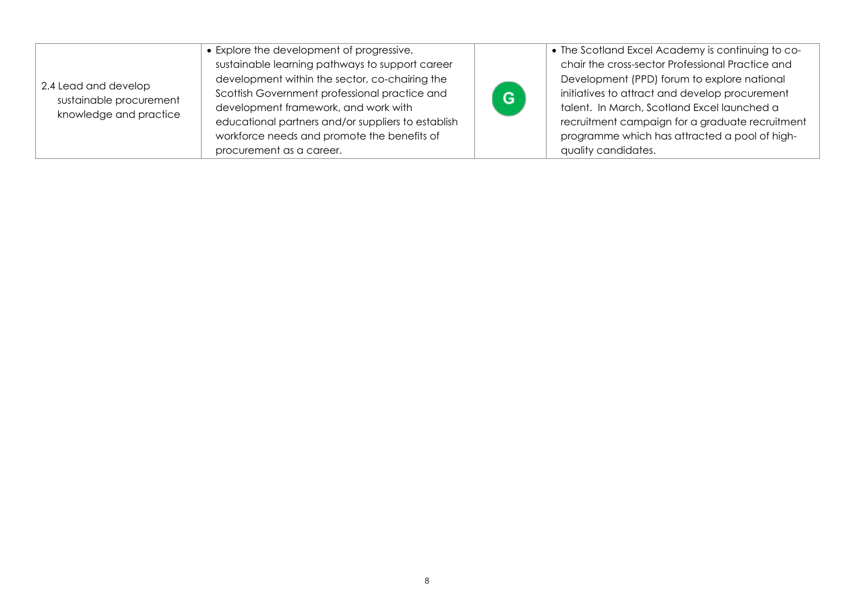| 2.4 Lead and develop<br>sustainable procurement<br>knowledge and practice | • Explore the development of progressive,<br>sustainable learning pathways to support career<br>development within the sector, co-chairing the<br>Scottish Government professional practice and<br>development framework, and work with<br>educational partners and/or suppliers to establish<br>workforce needs and promote the benefits of<br>procurement as a career. | G. | • The Scotland Excel Academy is continuing to co-<br>chair the cross-sector Professional Practice and<br>Development (PPD) forum to explore national<br>initiatives to attract and develop procurement<br>talent. In March, Scotland Excel launched a<br>recruitment campaign for a graduate recruitment<br>programme which has attracted a pool of high-<br>quality candidates. |
|---------------------------------------------------------------------------|--------------------------------------------------------------------------------------------------------------------------------------------------------------------------------------------------------------------------------------------------------------------------------------------------------------------------------------------------------------------------|----|----------------------------------------------------------------------------------------------------------------------------------------------------------------------------------------------------------------------------------------------------------------------------------------------------------------------------------------------------------------------------------|
|---------------------------------------------------------------------------|--------------------------------------------------------------------------------------------------------------------------------------------------------------------------------------------------------------------------------------------------------------------------------------------------------------------------------------------------------------------------|----|----------------------------------------------------------------------------------------------------------------------------------------------------------------------------------------------------------------------------------------------------------------------------------------------------------------------------------------------------------------------------------|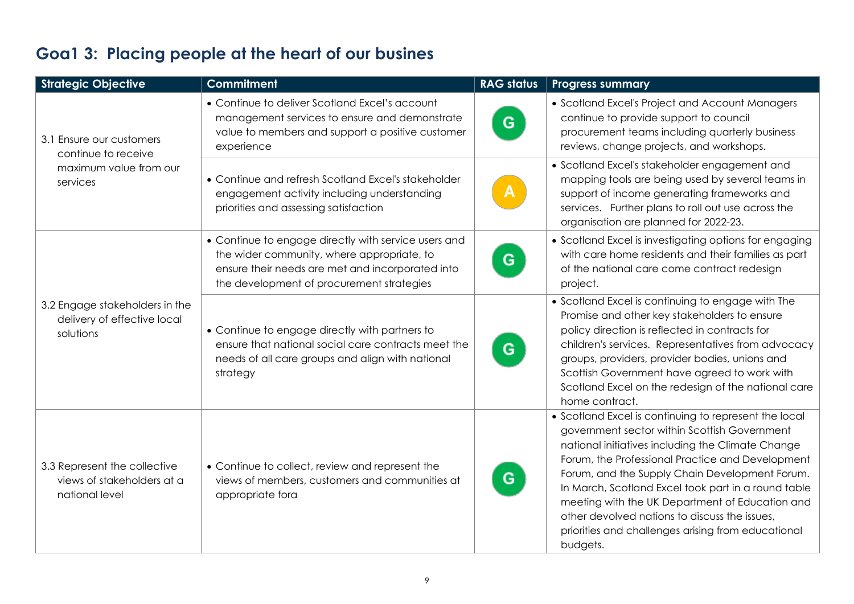| <b>Strategic Objective</b>                                                   | <b>Commitment</b>                                                                                                                                                                                   | <b>RAG status</b> | <b>Progress summary</b>                                                                                                                                                                                                                                                                                                                                                                                                                                                                       |
|------------------------------------------------------------------------------|-----------------------------------------------------------------------------------------------------------------------------------------------------------------------------------------------------|-------------------|-----------------------------------------------------------------------------------------------------------------------------------------------------------------------------------------------------------------------------------------------------------------------------------------------------------------------------------------------------------------------------------------------------------------------------------------------------------------------------------------------|
| 3.1 Ensure our customers<br>continue to receive                              | • Continue to deliver Scotland Excel's account<br>management services to ensure and demonstrate<br>value to members and support a positive customer<br>experience                                   | G                 | • Scotland Excel's Project and Account Managers<br>continue to provide support to council<br>procurement teams including quarterly business<br>reviews, change projects, and workshops.                                                                                                                                                                                                                                                                                                       |
| maximum value from our<br>services                                           | • Continue and refresh Scotland Excel's stakeholder<br>engagement activity including understanding<br>priorities and assessing satisfaction                                                         |                   | • Scotland Excel's stakeholder engagement and<br>mapping tools are being used by several teams in<br>support of income generating frameworks and<br>services. Further plans to roll out use across the<br>organisation are planned for 2022-23.                                                                                                                                                                                                                                               |
| 3.2 Engage stakeholders in the<br>delivery of effective local<br>solutions   | • Continue to engage directly with service users and<br>the wider community, where appropriate, to<br>ensure their needs are met and incorporated into<br>the development of procurement strategies | G                 | • Scotland Excel is investigating options for engaging<br>with care home residents and their families as part<br>of the national care come contract redesign<br>project.                                                                                                                                                                                                                                                                                                                      |
|                                                                              | • Continue to engage directly with partners to<br>ensure that national social care contracts meet the<br>needs of all care groups and align with national<br>strategy                               | G.                | • Scotland Excel is continuing to engage with The<br>Promise and other key stakeholders to ensure<br>policy direction is reflected in contracts for<br>children's services. Representatives from advocacy<br>groups, providers, provider bodies, unions and<br>Scottish Government have agreed to work with<br>Scotland Excel on the redesign of the national care<br>home contract.                                                                                                          |
| 3.3 Represent the collective<br>views of stakeholders at a<br>national level | • Continue to collect, review and represent the<br>views of members, customers and communities at<br>appropriate fora                                                                               | G                 | • Scotland Excel is continuing to represent the local<br>government sector within Scottish Government<br>national initiatives including the Climate Change<br>Forum, the Professional Practice and Development<br>Forum, and the Supply Chain Development Forum.<br>In March, Scotland Excel took part in a round table<br>meeting with the UK Department of Education and<br>other devolved nations to discuss the issues,<br>priorities and challenges arising from educational<br>budgets. |

### **Goa1 3: Placing people at the heart of our busines**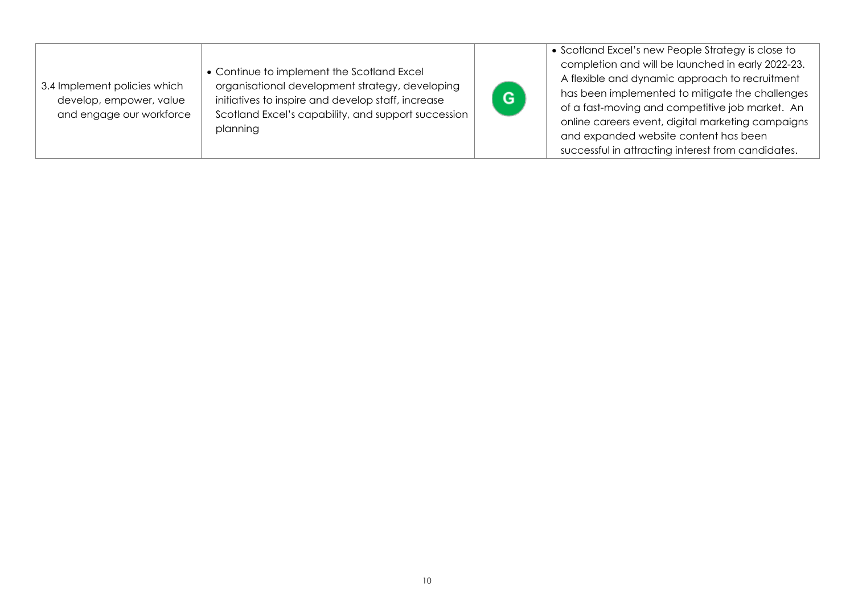| 3.4 Implement policies which<br>develop, empower, value<br>and engage our workforce | • Continue to implement the Scotland Excel<br>organisational development strategy, developing<br>initiatives to inspire and develop staff, increase<br>Scotland Excel's capability, and support succession<br>planning | Ġ | • Scotland Excel's new People Strategy is close to<br>completion and will be launched in early 2022-23.<br>A flexible and dynamic approach to recruitment<br>has been implemented to mitigate the challenges<br>of a fast-moving and competitive job market. An<br>online careers event, digital marketing campaigns<br>and expanded website content has been<br>successful in attracting interest from candidates. |
|-------------------------------------------------------------------------------------|------------------------------------------------------------------------------------------------------------------------------------------------------------------------------------------------------------------------|---|---------------------------------------------------------------------------------------------------------------------------------------------------------------------------------------------------------------------------------------------------------------------------------------------------------------------------------------------------------------------------------------------------------------------|
|-------------------------------------------------------------------------------------|------------------------------------------------------------------------------------------------------------------------------------------------------------------------------------------------------------------------|---|---------------------------------------------------------------------------------------------------------------------------------------------------------------------------------------------------------------------------------------------------------------------------------------------------------------------------------------------------------------------------------------------------------------------|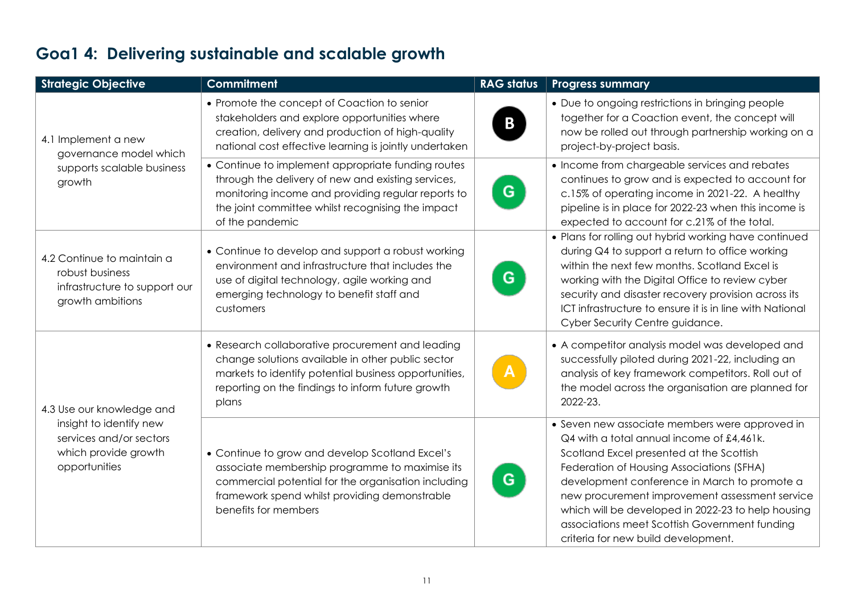## **Goa1 4: Delivering sustainable and scalable growth**

| <b>Strategic Objective</b>                                                                         | <b>Commitment</b>                                                                                                                                                                                                                      | <b>RAG status</b> | <b>Progress summary</b>                                                                                                                                                                                                                                                                                                                                                                                                              |
|----------------------------------------------------------------------------------------------------|----------------------------------------------------------------------------------------------------------------------------------------------------------------------------------------------------------------------------------------|-------------------|--------------------------------------------------------------------------------------------------------------------------------------------------------------------------------------------------------------------------------------------------------------------------------------------------------------------------------------------------------------------------------------------------------------------------------------|
| 4.1 Implement a new<br>governance model which                                                      | • Promote the concept of Coaction to senior<br>stakeholders and explore opportunities where<br>creation, delivery and production of high-quality<br>national cost effective learning is jointly undertaken                             | B                 | • Due to ongoing restrictions in bringing people<br>together for a Coaction event, the concept will<br>now be rolled out through partnership working on a<br>project-by-project basis.                                                                                                                                                                                                                                               |
| supports scalable business<br>growth                                                               | • Continue to implement appropriate funding routes<br>through the delivery of new and existing services,<br>monitoring income and providing regular reports to<br>the joint committee whilst recognising the impact<br>of the pandemic | G.                | • Income from chargeable services and rebates<br>continues to grow and is expected to account for<br>c.15% of operating income in 2021-22. A healthy<br>pipeline is in place for 2022-23 when this income is<br>expected to account for c.21% of the total.                                                                                                                                                                          |
| 4.2 Continue to maintain a<br>robust business<br>infrastructure to support our<br>growth ambitions | • Continue to develop and support a robust working<br>environment and infrastructure that includes the<br>use of digital technology, agile working and<br>emerging technology to benefit staff and<br>customers                        | G                 | • Plans for rolling out hybrid working have continued<br>during Q4 to support a return to office working<br>within the next few months. Scotland Excel is<br>working with the Digital Office to review cyber<br>security and disaster recovery provision across its<br>ICT infrastructure to ensure it is in line with National<br>Cyber Security Centre guidance.                                                                   |
| 4.3 Use our knowledge and                                                                          | • Research collaborative procurement and leading<br>change solutions available in other public sector<br>markets to identify potential business opportunities,<br>reporting on the findings to inform future growth<br>plans           |                   | • A competitor analysis model was developed and<br>successfully piloted during 2021-22, including an<br>analysis of key framework competitors. Roll out of<br>the model across the organisation are planned for<br>2022-23.                                                                                                                                                                                                          |
| insight to identify new<br>services and/or sectors<br>which provide growth<br>opportunities        | • Continue to grow and develop Scotland Excel's<br>associate membership programme to maximise its<br>commercial potential for the organisation including<br>framework spend whilst providing demonstrable<br>benefits for members      | G                 | • Seven new associate members were approved in<br>Q4 with a total annual income of £4,461k.<br>Scotland Excel presented at the Scottish<br>Federation of Housing Associations (SFHA)<br>development conference in March to promote a<br>new procurement improvement assessment service<br>which will be developed in 2022-23 to help housing<br>associations meet Scottish Government funding<br>criteria for new build development. |